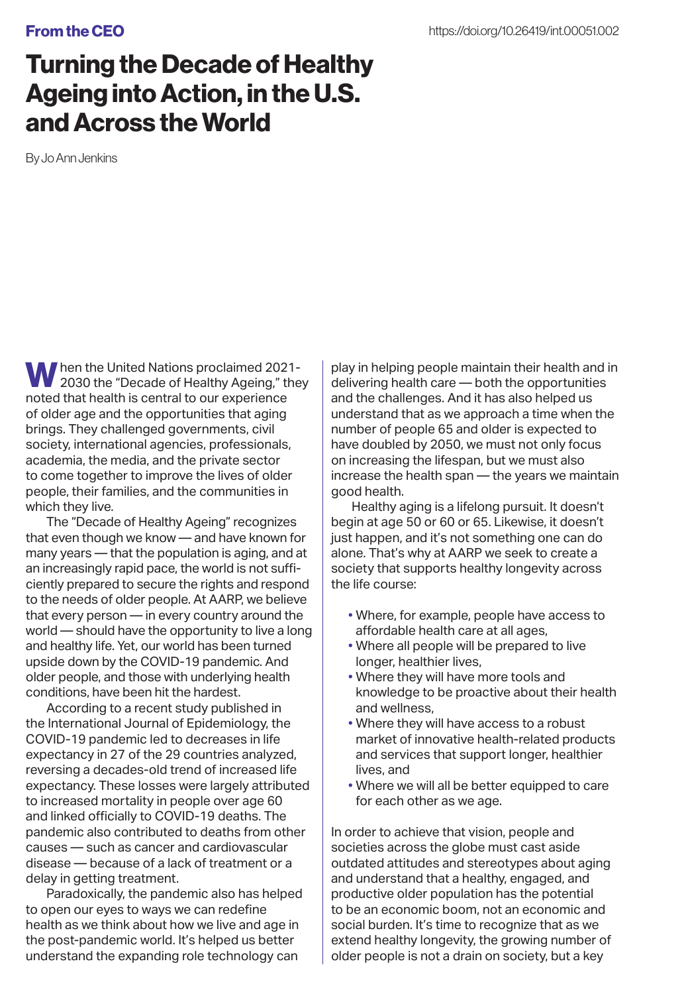## From the CEO

## Turning the Decade of Healthy Ageing into Action, in the U.S. and Across the World

By Jo Ann Jenkins

Mhen the United Nations proclaimed 2021-2030 the "Decade of Healthy Ageing," they noted that health is central to our experience of older age and the opportunities that aging brings. They challenged governments, civil society, international agencies, professionals, academia, the media, and the private sector to come together to improve the lives of older people, their families, and the communities in which they live.

The "Decade of Healthy Ageing" recognizes that even though we know — and have known for many years — that the population is aging, and at an increasingly rapid pace, the world is not sufficiently prepared to secure the rights and respond to the needs of older people. At AARP, we believe that every person — in every country around the world — should have the opportunity to live a long and healthy life. Yet, our world has been turned upside down by the COVID-19 pandemic. And older people, and those with underlying health conditions, have been hit the hardest.

According to a recent study published in the International Journal of Epidemiology, the COVID-19 pandemic led to decreases in life expectancy in 27 of the 29 countries analyzed, reversing a decades-old trend of increased life expectancy. These losses were largely attributed to increased mortality in people over age 60 and linked officially to COVID-19 deaths. The pandemic also contributed to deaths from other causes — such as cancer and cardiovascular disease — because of a lack of treatment or a delay in getting treatment.

Paradoxically, the pandemic also has helped to open our eyes to ways we can redefine health as we think about how we live and age in the post-pandemic world. It's helped us better understand the expanding role technology can

play in helping people maintain their health and in delivering health care — both the opportunities and the challenges. And it has also helped us understand that as we approach a time when the number of people 65 and older is expected to have doubled by 2050, we must not only focus on increasing the lifespan, but we must also increase the health span — the years we maintain good health.

Healthy aging is a lifelong pursuit. It doesn't begin at age 50 or 60 or 65. Likewise, it doesn't just happen, and it's not something one can do alone. That's why at AARP we seek to create a society that supports healthy longevity across the life course:

- Where, for example, people have access to affordable health care at all ages,
- Where all people will be prepared to live longer, healthier lives,
- Where they will have more tools and knowledge to be proactive about their health and wellness,
- Where they will have access to a robust market of innovative health-related products and services that support longer, healthier lives, and
- Where we will all be better equipped to care for each other as we age.

In order to achieve that vision, people and societies across the globe must cast aside outdated attitudes and stereotypes about aging and understand that a healthy, engaged, and productive older population has the potential to be an economic boom, not an economic and social burden. It's time to recognize that as we extend healthy longevity, the growing number of older people is not a drain on society, but a key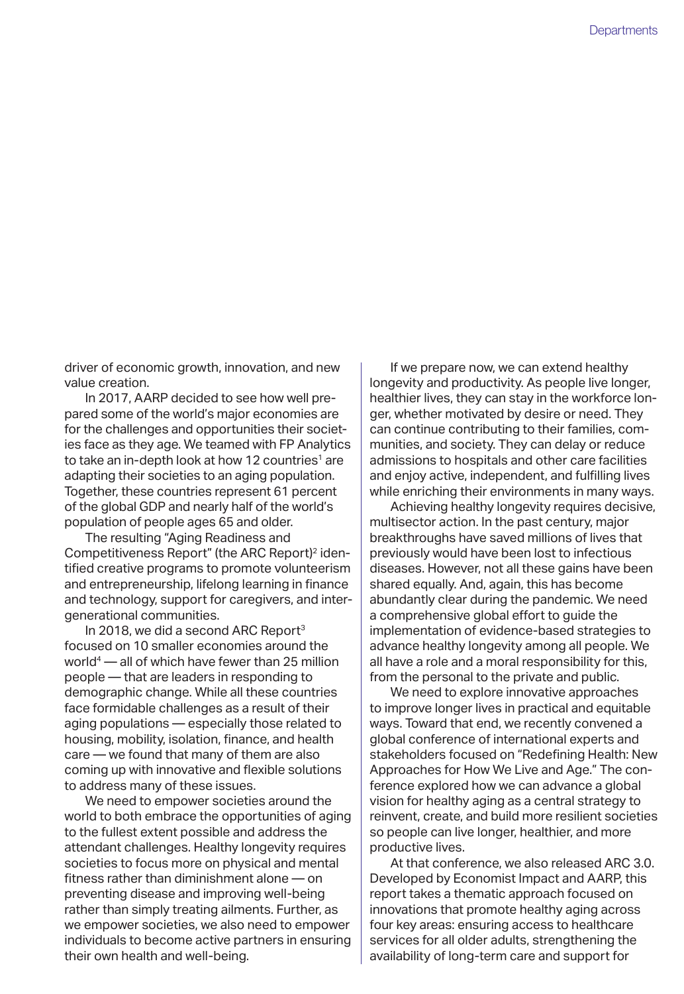driver of economic growth, innovation, and new value creation.

In 2017, AARP decided to see how well prepared some of the world's major economies are for the challenges and opportunities their societies face as they age. We teamed with FP Analytics to take an in-depth look at how 12 countries<sup>1</sup> are adapting their societies to an aging population. Together, these countries represent 61 percent of the global GDP and nearly half of the world's population of people ages 65 and older.

The resulting "Aging Readiness and Competitiveness Report" (the ARC Report)<sup>2</sup> identified creative programs to promote volunteerism and entrepreneurship, lifelong learning in finance and technology, support for caregivers, and intergenerational communities.

In 2018, we did a second ARC Report3 focused on 10 smaller economies around the world4 — all of which have fewer than 25 million people — that are leaders in responding to demographic change. While all these countries face formidable challenges as a result of their aging populations — especially those related to housing, mobility, isolation, finance, and health care — we found that many of them are also coming up with innovative and flexible solutions to address many of these issues.

We need to empower societies around the world to both embrace the opportunities of aging to the fullest extent possible and address the attendant challenges. Healthy longevity requires societies to focus more on physical and mental fitness rather than diminishment alone — on preventing disease and improving well-being rather than simply treating ailments. Further, as we empower societies, we also need to empower individuals to become active partners in ensuring their own health and well-being.

If we prepare now, we can extend healthy longevity and productivity. As people live longer, healthier lives, they can stay in the workforce longer, whether motivated by desire or need. They can continue contributing to their families, communities, and society. They can delay or reduce admissions to hospitals and other care facilities and enjoy active, independent, and fulfilling lives while enriching their environments in many ways.

Achieving healthy longevity requires decisive, multisector action. In the past century, major breakthroughs have saved millions of lives that previously would have been lost to infectious diseases. However, not all these gains have been shared equally. And, again, this has become abundantly clear during the pandemic. We need a comprehensive global effort to guide the implementation of evidence-based strategies to advance healthy longevity among all people. We all have a role and a moral responsibility for this, from the personal to the private and public.

We need to explore innovative approaches to improve longer lives in practical and equitable ways. Toward that end, we recently convened a global conference of international experts and stakeholders focused on "Redefining Health: New Approaches for How We Live and Age." The conference explored how we can advance a global vision for healthy aging as a central strategy to reinvent, create, and build more resilient societies so people can live longer, healthier, and more productive lives.

At that conference, we also released ARC 3.0. Developed by Economist Impact and AARP, this report takes a thematic approach focused on innovations that promote healthy aging across four key areas: ensuring access to healthcare services for all older adults, strengthening the availability of long-term care and support for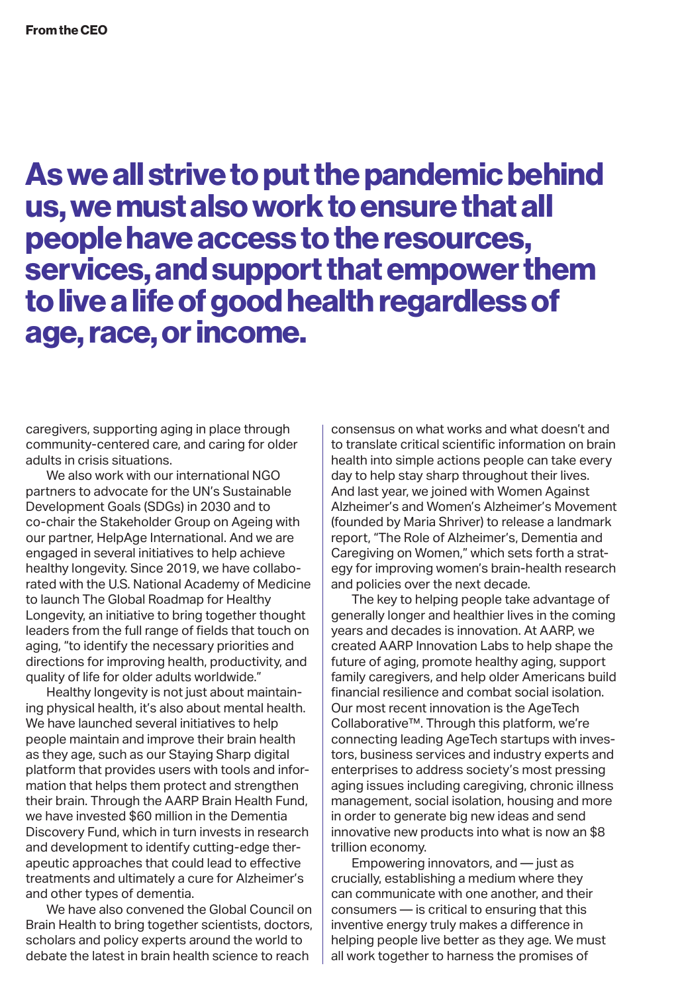As we all strive to put the pandemic behind us, we must also work to ensure that all people have access to the resources, services, and support that empower them to live a life of good health regardless of age, race, or income.

caregivers, supporting aging in place through community-centered care, and caring for older adults in crisis situations.

We also work with our international NGO partners to advocate for the UN's Sustainable Development Goals (SDGs) in 2030 and to co-chair the Stakeholder Group on Ageing with our partner, HelpAge International. And we are engaged in several initiatives to help achieve healthy longevity. Since 2019, we have collaborated with the U.S. National Academy of Medicine to launch The Global Roadmap for Healthy Longevity, an initiative to bring together thought leaders from the full range of fields that touch on aging, "to identify the necessary priorities and directions for improving health, productivity, and quality of life for older adults worldwide."

Healthy longevity is not just about maintaining physical health, it's also about mental health. We have launched several initiatives to help people maintain and improve their brain health as they age, such as our Staying Sharp digital platform that provides users with tools and information that helps them protect and strengthen their brain. Through the AARP Brain Health Fund, we have invested \$60 million in the Dementia Discovery Fund, which in turn invests in research and development to identify cutting-edge therapeutic approaches that could lead to effective treatments and ultimately a cure for Alzheimer's and other types of dementia.

We have also convened the Global Council on Brain Health to bring together scientists, doctors, scholars and policy experts around the world to debate the latest in brain health science to reach

consensus on what works and what doesn't and to translate critical scientific information on brain health into simple actions people can take every day to help stay sharp throughout their lives. And last year, we joined with Women Against Alzheimer's and Women's Alzheimer's Movement (founded by Maria Shriver) to release a landmark report, "The Role of Alzheimer's, Dementia and Caregiving on Women," which sets forth a strategy for improving women's brain-health research and policies over the next decade.

The key to helping people take advantage of generally longer and healthier lives in the coming years and decades is innovation. At AARP, we created AARP Innovation Labs to help shape the future of aging, promote healthy aging, support family caregivers, and help older Americans build financial resilience and combat social isolation. Our most recent innovation is the AgeTech Collaborative™. Through this platform, we're connecting leading AgeTech startups with investors, business services and industry experts and enterprises to address society's most pressing aging issues including caregiving, chronic illness management, social isolation, housing and more in order to generate big new ideas and send innovative new products into what is now an \$8 trillion economy.

Empowering innovators, and — just as crucially, establishing a medium where they can communicate with one another, and their consumers — is critical to ensuring that this inventive energy truly makes a difference in helping people live better as they age. We must all work together to harness the promises of